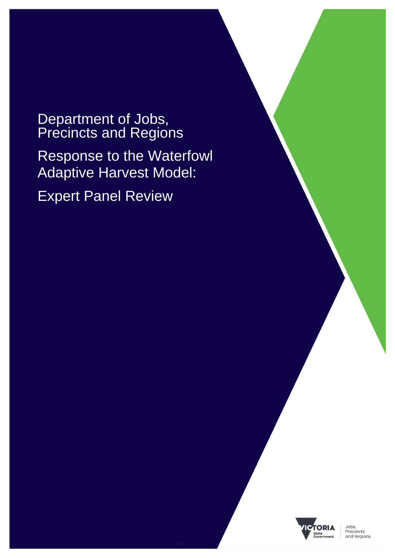Department of Jobs, Precincts and Regions Response to the Waterfowl Adaptive Harvest Model: Expert Panel Review

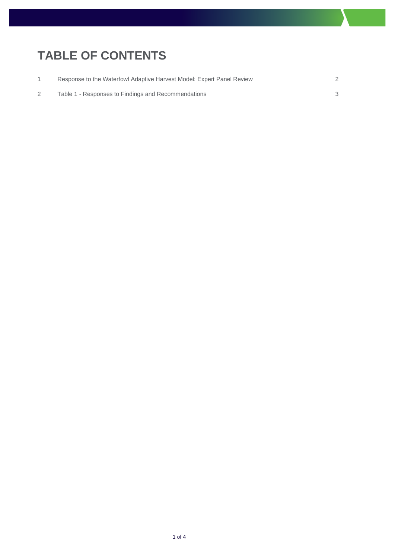## **TABLE OF CONTENTS**

| Response to the Waterfowl Adaptive Harvest Model: Expert Panel Review |  |
|-----------------------------------------------------------------------|--|
| Table 1 - Responses to Findings and Recommendations                   |  |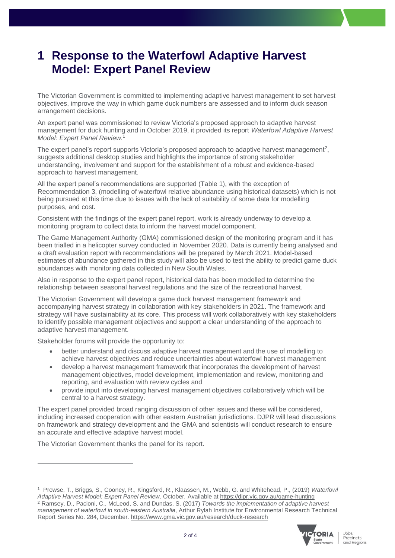## <span id="page-2-0"></span>**1 Response to the Waterfowl Adaptive Harvest Model: Expert Panel Review**

The Victorian Government is committed to implementing adaptive harvest management to set harvest objectives, improve the way in which game duck numbers are assessed and to inform duck season arrangement decisions.

An expert panel was commissioned to review Victoria's proposed approach to adaptive harvest management for duck hunting and in October 2019, it provided its report *Waterfowl Adaptive Harvest Model: Expert Panel Review.*<sup>1</sup>

The expert panel's report supports Victoria's proposed approach to adaptive harvest management<sup>2</sup>, suggests additional desktop studies and highlights the importance of strong stakeholder understanding, involvement and support for the establishment of a robust and evidence-based approach to harvest management.

All the expert panel's recommendations are supported (Table 1), with the exception of Recommendation 3, (modelling of waterfowl relative abundance using historical datasets) which is not being pursued at this time due to issues with the lack of suitability of some data for modelling purposes, and cost.

Consistent with the findings of the expert panel report, work is already underway to develop a monitoring program to collect data to inform the harvest model component.

The Game Management Authority (GMA) commissioned design of the monitoring program and it has been trialled in a helicopter survey conducted in November 2020. Data is currently being analysed and a draft evaluation report with recommendations will be prepared by March 2021. Model-based estimates of abundance gathered in this study will also be used to test the ability to predict game duck abundances with monitoring data collected in New South Wales.

Also in response to the expert panel report, historical data has been modelled to determine the relationship between seasonal harvest regulations and the size of the recreational harvest.

The Victorian Government will develop a game duck harvest management framework and accompanying harvest strategy in collaboration with key stakeholders in 2021. The framework and strategy will have sustainability at its core. This process will work collaboratively with key stakeholders to identify possible management objectives and support a clear understanding of the approach to adaptive harvest management.

Stakeholder forums will provide the opportunity to:

- better understand and discuss adaptive harvest management and the use of modelling to achieve harvest objectives and reduce uncertainties about waterfowl harvest management
- develop a harvest management framework that incorporates the development of harvest management objectives, model development, implementation and review, monitoring and reporting, and evaluation with review cycles and
- provide input into developing harvest management objectives collaboratively which will be central to a harvest strategy.

The expert panel provided broad ranging discussion of other issues and these will be considered, including increased cooperation with other eastern Australian jurisdictions. DJPR will lead discussions on framework and strategy development and the GMA and scientists will conduct research to ensure an accurate and effective adaptive harvest model.

The Victorian Government thanks the panel for its report.

<sup>1</sup> Prowse, T., Briggs, S., Cooney, R., Kingsford, R., Klaassen, M., Webb, G. and Whitehead, P., (2019) *Waterfowl Adaptive Harvest Model: Expert Panel Review,* October*.* Available at <https://djpr.vic.gov.au/game-hunting> <sup>2</sup> Ramsey, D., Pacioni, C., McLeod, S. and Dundas, S. (2017) *Towards the implementation of adaptive harvest management of waterfowl in south-eastern Australia*, Arthur Rylah Institute for Environmental Research Technical Report Series No. 284, December.<https://www.gma.vic.gov.au/research/duck-research>

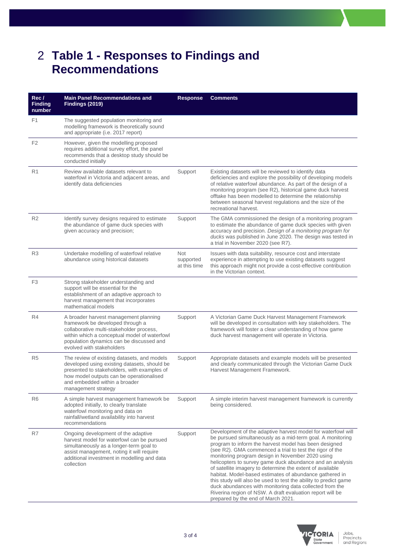## <span id="page-3-0"></span>2 **Table 1 - Responses to Findings and Recommendations**

| Rec/<br><b>Finding</b><br>number | <b>Main Panel Recommendations and</b><br><b>Findings (2019)</b>                                                                                                                                                                                | <b>Response</b>                         | <b>Comments</b>                                                                                                                                                                                                                                                                                                                                                                                                                                                                                                                                                                                                                                                                                                            |
|----------------------------------|------------------------------------------------------------------------------------------------------------------------------------------------------------------------------------------------------------------------------------------------|-----------------------------------------|----------------------------------------------------------------------------------------------------------------------------------------------------------------------------------------------------------------------------------------------------------------------------------------------------------------------------------------------------------------------------------------------------------------------------------------------------------------------------------------------------------------------------------------------------------------------------------------------------------------------------------------------------------------------------------------------------------------------------|
| F <sub>1</sub>                   | The suggested population monitoring and<br>modelling framework is theoretically sound<br>and appropriate (i.e. 2017 report)                                                                                                                    |                                         |                                                                                                                                                                                                                                                                                                                                                                                                                                                                                                                                                                                                                                                                                                                            |
| F <sub>2</sub>                   | However, given the modelling proposed<br>requires additional survey effort, the panel<br>recommends that a desktop study should be<br>conducted initially                                                                                      |                                         |                                                                                                                                                                                                                                                                                                                                                                                                                                                                                                                                                                                                                                                                                                                            |
| R <sub>1</sub>                   | Review available datasets relevant to<br>waterfowl in Victoria and adjacent areas, and<br>identify data deficiencies                                                                                                                           | Support                                 | Existing datasets will be reviewed to identify data<br>deficiencies and explore the possibility of developing models<br>of relative waterfowl abundance. As part of the design of a<br>monitoring program (see R2), historical game duck harvest<br>offtake has been modelled to determine the relationship<br>between seasonal harvest regulations and the size of the<br>recreational harvest.                                                                                                                                                                                                                                                                                                                           |
| R <sub>2</sub>                   | Identify survey designs required to estimate<br>the abundance of game duck species with<br>given accuracy and precision;                                                                                                                       | Support                                 | The GMA commissioned the design of a monitoring program<br>to estimate the abundance of game duck species with given<br>accuracy and precision. Design of a monitoring program for<br>ducks was published in June 2020. The design was tested in<br>a trial in November 2020 (see R7).                                                                                                                                                                                                                                                                                                                                                                                                                                     |
| R <sub>3</sub>                   | Undertake modelling of waterfowl relative<br>abundance using historical datasets                                                                                                                                                               | <b>Not</b><br>supported<br>at this time | Issues with data suitability, resource cost and interstate<br>experience in attempting to use existing datasets suggest<br>this approach might not provide a cost-effective contribution<br>in the Victorian context.                                                                                                                                                                                                                                                                                                                                                                                                                                                                                                      |
| F <sub>3</sub>                   | Strong stakeholder understanding and<br>support will be essential for the<br>establishment of an adaptive approach to<br>harvest management that incorporates<br>mathematical models                                                           |                                         |                                                                                                                                                                                                                                                                                                                                                                                                                                                                                                                                                                                                                                                                                                                            |
| R4                               | A broader harvest management planning<br>framework be developed through a<br>collaborative multi-stakeholder process,<br>within which a conceptual model of waterfowl<br>population dynamics can be discussed and<br>evolved with stakeholders | Support                                 | A Victorian Game Duck Harvest Management Framework<br>will be developed in consultation with key stakeholders. The<br>framework will foster a clear understanding of how game<br>duck harvest management will operate in Victoria.                                                                                                                                                                                                                                                                                                                                                                                                                                                                                         |
| R <sub>5</sub>                   | The review of existing datasets, and models<br>developed using existing datasets, should be<br>presented to stakeholders, with examples of<br>how model outputs can be operationalised<br>and embedded within a broader<br>management strategy | Support                                 | Appropriate datasets and example models will be presented<br>and clearly communicated through the Victorian Game Duck<br>Harvest Management Framework.                                                                                                                                                                                                                                                                                                                                                                                                                                                                                                                                                                     |
| R <sub>6</sub>                   | A simple harvest management framework be<br>adopted initially, to clearly translate<br>waterfowl monitoring and data on<br>rainfall/wetland availability into harvest<br>recommendations                                                       | Support                                 | A simple interim harvest management framework is currently<br>being considered.                                                                                                                                                                                                                                                                                                                                                                                                                                                                                                                                                                                                                                            |
| R7                               | Ongoing development of the adaptive<br>harvest model for waterfowl can be pursued<br>simultaneously as a longer-term goal to<br>assist management, noting it will require<br>additional investment in modelling and data<br>collection         | Support                                 | Development of the adaptive harvest model for waterfowl will<br>be pursued simultaneously as a mid-term goal. A monitoring<br>program to inform the harvest model has been designed<br>(see R2). GMA commenced a trial to test the rigor of the<br>monitoring program design in November 2020 using<br>helicopters to survey game duck abundance and an analysis<br>of satellite imagery to determine the extent of available<br>habitat. Model-based estimates of abundance gathered in<br>this study will also be used to test the ability to predict game<br>duck abundances with monitoring data collected from the<br>Riverina region of NSW. A draft evaluation report will be<br>prepared by the end of March 2021. |